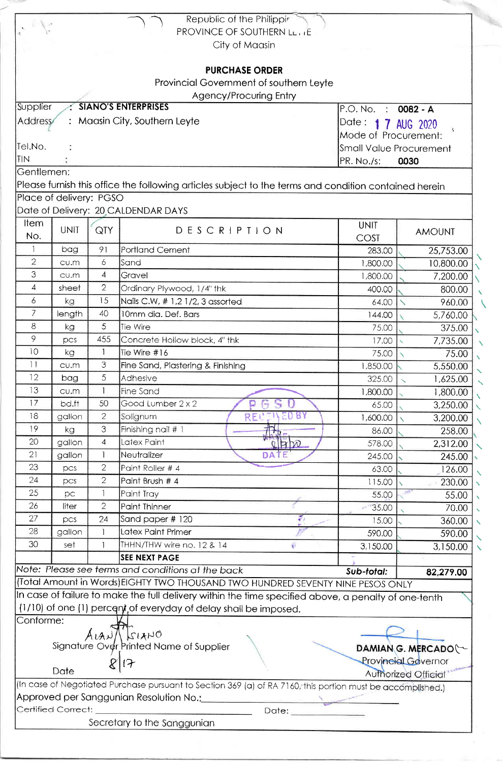|                |                         |                | Republic of the Philippir                                                                                   |                              |                            |
|----------------|-------------------------|----------------|-------------------------------------------------------------------------------------------------------------|------------------------------|----------------------------|
|                |                         |                | <b>PROVINCE OF SOUTHERN LETTE</b>                                                                           |                              |                            |
|                |                         |                | City of Maasin                                                                                              |                              |                            |
|                |                         |                |                                                                                                             |                              |                            |
|                |                         |                | <b>PURCHASE ORDER</b>                                                                                       |                              |                            |
|                |                         |                | Provincial Government of southern Leyte                                                                     |                              |                            |
|                |                         |                | <b>Agency/Procuring Entry</b>                                                                               |                              |                            |
| Supplier       |                         |                | <b>SIANO'S ENTERPRISES</b>                                                                                  | $P.O.$ No.<br>$\mathbb{R}^n$ | 0082 - A                   |
| <b>Address</b> |                         |                | : Maasin City, Southern Leyte                                                                               | Date: 1 7 AUG 2020           |                            |
|                |                         |                |                                                                                                             | Mode of Procurement:         |                            |
| Tel.No.        |                         |                | Small Value Procurement                                                                                     |                              |                            |
| TIN            |                         |                |                                                                                                             | PR. No./s:                   | 0030                       |
| Gentlemen:     |                         |                |                                                                                                             |                              |                            |
|                |                         |                | Please furnish this office the following articles subject to the terms and condition contained herein       |                              |                            |
|                | Place of delivery: PGSO |                |                                                                                                             |                              |                            |
| Item           |                         |                | Date of Delivery: 20 CALDENDAR DAYS                                                                         |                              |                            |
| No.            | <b>UNIT</b>             | QTY            | DESCRIPTION                                                                                                 | <b>UNIT</b>                  | <b>AMOUNT</b>              |
| 1              |                         |                |                                                                                                             | COST                         |                            |
| $\overline{2}$ | bag                     | 91<br>6        | <b>Portland Cement</b>                                                                                      | 283.00                       | 25,753.00                  |
| 3              | CU.M<br>CU.m            | $\overline{4}$ | Sand<br>Gravel                                                                                              | 1,800.00                     | 10,800.00                  |
| $\overline{4}$ | sheet                   | $\overline{2}$ |                                                                                                             | 1,800.00                     | 7,200.00                   |
| 6              | kg                      | 15             | Ordinary Plywood, 1/4" thk<br>Nails C.W, #1,21/2, 3 assorted                                                | 400.00                       | 800.00                     |
| 7              | length                  | 40             | 10mm dia. Def. Bars                                                                                         | 64.00                        | 960.00                     |
| 8              |                         | 5              | Tie Wire                                                                                                    | 144.00<br>75.00              | 5,760.00                   |
| 9              | kg<br>pcs               | 455            | Concrete Hollow block, 4" thk                                                                               | 17.00                        | 375.00<br>7,735.00         |
| 10             | kg                      | $\mathbf{1}$   | Tie Wire #16                                                                                                | 75.00                        |                            |
| 11             | cu.m                    | 3              | Fine Sand, Plastering & Finishing                                                                           | 1,850.00                     | 75.00<br>5,550.00          |
| 12             | bag                     | 5              | Adhesive                                                                                                    | 325.00                       | 1,625.00                   |
| 13             | CU.M                    |                | Fine Sand                                                                                                   | 1,800.00                     | 1,800.00                   |
| 17             | bd.ft                   | 50             | Good Lumber 2 x 2<br>U<br>Ω                                                                                 | 65.00                        | 3,250.00                   |
| 18             | gallon                  | $\overline{2}$ | ED BY<br>Solignum<br>RECE                                                                                   | 1,600.00                     | 3,200.00                   |
| 19             | kg                      | 3              | Finishing nail # 1                                                                                          | 86.00                        | 258.00                     |
| 20             | gallon                  | 4              | Latex Paint<br>$Q$ $P$ $D$                                                                                  | 578.00                       | 2,312.00                   |
| 21             | gallon                  | $\mathbf{1}$   | Neutralizer<br>DATE                                                                                         | 245.00                       | 245.00                     |
| 23             | pcs                     | $\overline{2}$ | Paint Roller # 4                                                                                            | 63.00                        | 126.00                     |
| 24             | pcs                     | $\overline{2}$ | Paint Brush # 4                                                                                             | 115.00                       | 230.00                     |
| 25             | рc                      | 1              | Paint Tray                                                                                                  | 55.00                        | 55.00                      |
| 26             | liter                   | $\overline{2}$ | <b>Paint Thinner</b>                                                                                        | 35.00                        | 70.00                      |
| 27             | pcs                     | 24             | z.<br>Sand paper # 120                                                                                      | 15.00                        | 360.00                     |
| 28             | gallon                  | 1              | Latex Paint Primer                                                                                          | 590.00                       | 590.00                     |
| 30             | set                     |                | THHN/THW wire no. 12 & 14<br>U.                                                                             | 3,150.00                     | 3,150.00                   |
|                |                         |                | <b>SEE NEXT PAGE</b>                                                                                        |                              |                            |
|                |                         |                | Note: Please see terms and conditions at the back                                                           | Sub-total:                   | 82,279.00                  |
|                |                         |                | (Total Amount in Words) EIGHTY TWO THOUSAND TWO HUNDRED SEVENTY NINE PESOS ONLY                             |                              |                            |
|                |                         |                | In case of failure to make the full delivery within the time specified above, a penalty of one-tenth        |                              |                            |
|                |                         |                | (1/10) of one (1) percent of everyday of delay shall be imposed.                                            |                              |                            |
| Conforme:      |                         |                |                                                                                                             |                              |                            |
|                |                         |                | ALAN/ SIANO                                                                                                 |                              |                            |
|                |                         |                | Signature Over Printed Name of Supplier                                                                     |                              | DAMIAN G. MERCADO          |
|                |                         |                | $\mathfrak{t}$                                                                                              |                              | Provincial Governor        |
|                | Date                    |                |                                                                                                             |                              | <b>Authorized Official</b> |
|                |                         |                | (In case of Negotiated Purchase pursuant to Section 369 (a) of RA 7160, this portion must be accomplished.) |                              |                            |
|                |                         |                | Approved per Sanggunian Resolution No.: Communication Approved per Sanggunian Resolution No.:               |                              |                            |
|                | Certified Correct:      |                | Date: ________                                                                                              |                              |                            |
|                |                         |                | Secretary to the Sanggunian                                                                                 |                              |                            |